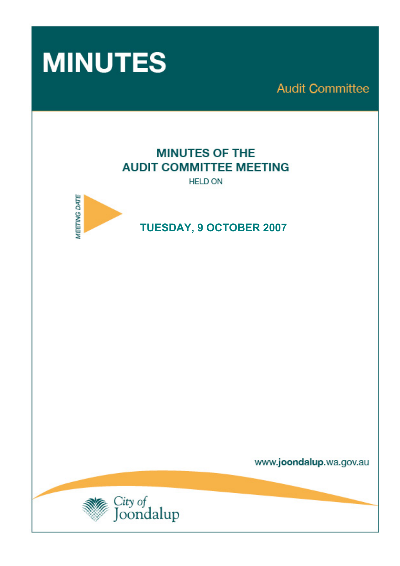

**Audit Committee** 

# **MINUTES OF THE AUDIT COMMITTEE MEETING**

**HELD ON** 



# **TUESDAY, 9 OCTOBER 2007**

www.joondalup.wa.gov.au

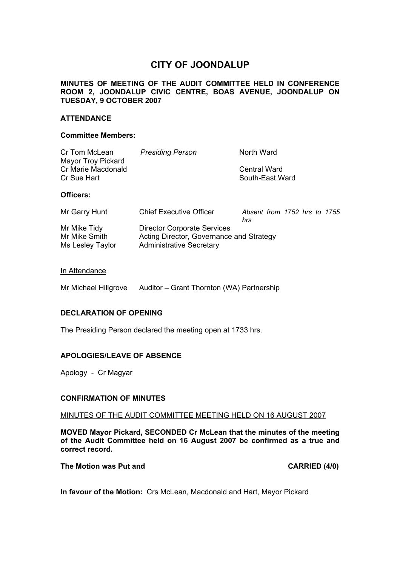# **CITY OF JOONDALUP**

# **MINUTES OF MEETING OF THE AUDIT COMMITTEE HELD IN CONFERENCE ROOM 2, JOONDALUP CIVIC CENTRE, BOAS AVENUE, JOONDALUP ON TUESDAY, 9 OCTOBER 2007**

#### **ATTENDANCE**

#### **Committee Members:**

| Cr Tom McLean      | <b>Presiding Person</b> | North Ward      |
|--------------------|-------------------------|-----------------|
| Mayor Troy Pickard |                         |                 |
| Cr Marie Macdonald |                         | Central Ward    |
| Cr Sue Hart        |                         | South-East Ward |
|                    |                         |                 |

# **Officers:**

| Mr Garry Hunt                                     | <b>Chief Executive Officer</b>                                                                                    | Absent from 1752 hrs to 1755<br>hrs |  |  |  |
|---------------------------------------------------|-------------------------------------------------------------------------------------------------------------------|-------------------------------------|--|--|--|
| Mr Mike Tidy<br>Mr Mike Smith<br>Ms Lesley Taylor | <b>Director Corporate Services</b><br>Acting Director, Governance and Strategy<br><b>Administrative Secretary</b> |                                     |  |  |  |

#### In Attendance

Mr Michael Hillgrove Auditor – Grant Thornton (WA) Partnership

#### **DECLARATION OF OPENING**

The Presiding Person declared the meeting open at 1733 hrs.

#### **APOLOGIES/LEAVE OF ABSENCE**

Apology - Cr Magyar

#### **CONFIRMATION OF MINUTES**

#### MINUTES OF THE AUDIT COMMITTEE MEETING HELD ON 16 AUGUST 2007

**MOVED Mayor Pickard, SECONDED Cr McLean that the minutes of the meeting of the Audit Committee held on 16 August 2007 be confirmed as a true and correct record.** 

### The Motion was Put and **CARRIED** (4/0)

**In favour of the Motion:** Crs McLean, Macdonald and Hart, Mayor Pickard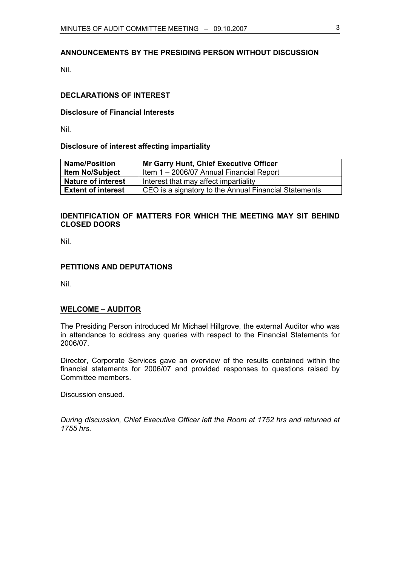# **ANNOUNCEMENTS BY THE PRESIDING PERSON WITHOUT DISCUSSION**

Nil.

# **DECLARATIONS OF INTEREST**

#### **Disclosure of Financial Interests**

Nil.

# **Disclosure of interest affecting impartiality**

| <b>Name/Position</b>      | <b>Mr Garry Hunt, Chief Executive Officer</b>         |  |
|---------------------------|-------------------------------------------------------|--|
| <b>Item No/Subject</b>    | Item 1 - 2006/07 Annual Financial Report              |  |
| <b>Nature of interest</b> | Interest that may affect impartiality                 |  |
| <b>Extent of interest</b> | CEO is a signatory to the Annual Financial Statements |  |

# **IDENTIFICATION OF MATTERS FOR WHICH THE MEETING MAY SIT BEHIND CLOSED DOORS**

Nil.

# **PETITIONS AND DEPUTATIONS**

Nil.

#### **WELCOME – AUDITOR**

The Presiding Person introduced Mr Michael Hillgrove, the external Auditor who was in attendance to address any queries with respect to the Financial Statements for 2006/07.

Director, Corporate Services gave an overview of the results contained within the financial statements for 2006/07 and provided responses to questions raised by Committee members.

Discussion ensued.

*During discussion, Chief Executive Officer left the Room at 1752 hrs and returned at 1755 hrs.*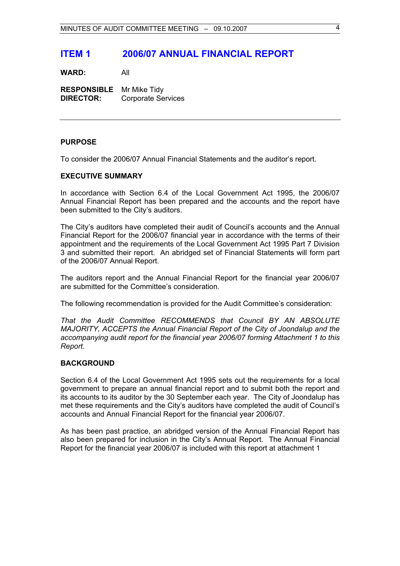# **ITEM 1 2006/07 ANNUAL FINANCIAL REPORT**

**WARD:** All

**RESPONSIBLE** Mr Mike Tidy **DIRECTOR:** Corporate Services

# **PURPOSE**

To consider the 2006/07 Annual Financial Statements and the auditor's report.

#### **EXECUTIVE SUMMARY**

In accordance with Section 6.4 of the Local Government Act 1995, the 2006/07 Annual Financial Report has been prepared and the accounts and the report have been submitted to the City's auditors.

The City's auditors have completed their audit of Council's accounts and the Annual Financial Report for the 2006/07 financial year in accordance with the terms of their appointment and the requirements of the Local Government Act 1995 Part 7 Division 3 and submitted their report. An abridged set of Financial Statements will form part of the 2006/07 Annual Report.

The auditors report and the Annual Financial Report for the financial year 2006/07 are submitted for the Committee's consideration.

The following recommendation is provided for the Audit Committee's consideration:

*That the Audit Committee RECOMMENDS that Council BY AN ABSOLUTE MAJORITY, ACCEPTS the Annual Financial Report of the City of Joondalup and the accompanying audit report for the financial year 2006/07 forming Attachment 1 to this Report.* 

#### **BACKGROUND**

Section 6.4 of the Local Government Act 1995 sets out the requirements for a local government to prepare an annual financial report and to submit both the report and its accounts to its auditor by the 30 September each year. The City of Joondalup has met these requirements and the City's auditors have completed the audit of Council's accounts and Annual Financial Report for the financial year 2006/07.

As has been past practice, an abridged version of the Annual Financial Report has also been prepared for inclusion in the City's Annual Report. The Annual Financial Report for the financial year 2006/07 is included with this report at attachment 1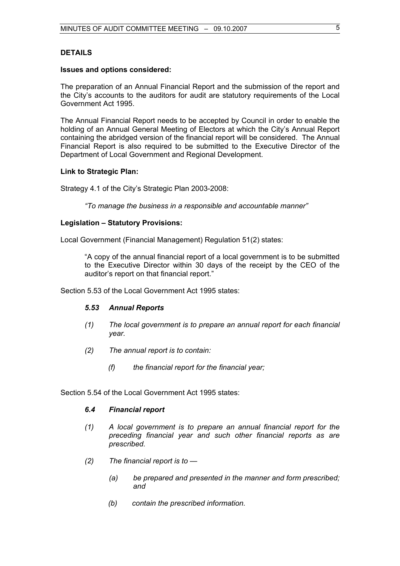# **DETAILS**

#### **Issues and options considered:**

The preparation of an Annual Financial Report and the submission of the report and the City's accounts to the auditors for audit are statutory requirements of the Local Government Act 1995.

The Annual Financial Report needs to be accepted by Council in order to enable the holding of an Annual General Meeting of Electors at which the City's Annual Report containing the abridged version of the financial report will be considered. The Annual Financial Report is also required to be submitted to the Executive Director of the Department of Local Government and Regional Development.

#### **Link to Strategic Plan:**

Strategy 4.1 of the City's Strategic Plan 2003-2008:

*"To manage the business in a responsible and accountable manner"* 

# **Legislation – Statutory Provisions:**

Local Government (Financial Management) Regulation 51(2) states:

"A copy of the annual financial report of a local government is to be submitted to the Executive Director within 30 days of the receipt by the CEO of the auditor's report on that financial report."

Section 5.53 of the Local Government Act 1995 states:

#### *5.53 Annual Reports*

- *(1) The local government is to prepare an annual report for each financial year.*
- *(2) The annual report is to contain:* 
	- *(f) the financial report for the financial year;*

Section 5.54 of the Local Government Act 1995 states:

# *6.4 Financial report*

- *(1) A local government is to prepare an annual financial report for the preceding financial year and such other financial reports as are prescribed.*
- *(2) The financial report is to* 
	- *(a) be prepared and presented in the manner and form prescribed; and*
	- *(b) contain the prescribed information.*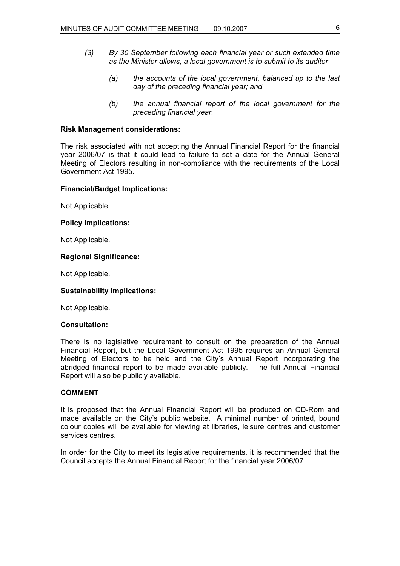- *(3) By 30 September following each financial year or such extended time as the Minister allows, a local government is to submit to its auditor —* 
	- *(a) the accounts of the local government, balanced up to the last day of the preceding financial year; and*
	- *(b) the annual financial report of the local government for the preceding financial year.*

#### **Risk Management considerations:**

The risk associated with not accepting the Annual Financial Report for the financial year 2006/07 is that it could lead to failure to set a date for the Annual General Meeting of Electors resulting in non-compliance with the requirements of the Local Government Act 1995.

#### **Financial/Budget Implications:**

Not Applicable.

# **Policy Implications:**

Not Applicable.

# **Regional Significance:**

Not Applicable.

# **Sustainability Implications:**

Not Applicable.

# **Consultation:**

There is no legislative requirement to consult on the preparation of the Annual Financial Report, but the Local Government Act 1995 requires an Annual General Meeting of Electors to be held and the City's Annual Report incorporating the abridged financial report to be made available publicly. The full Annual Financial Report will also be publicly available.

# **COMMENT**

It is proposed that the Annual Financial Report will be produced on CD-Rom and made available on the City's public website. A minimal number of printed, bound colour copies will be available for viewing at libraries, leisure centres and customer services centres.

In order for the City to meet its legislative requirements, it is recommended that the Council accepts the Annual Financial Report for the financial year 2006/07.